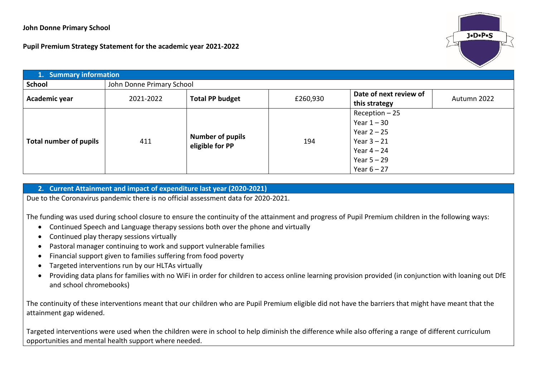## **John Donne Primary School**

**Pupil Premium Strategy Statement for the academic year 2021-2022**



| 1. Summary information |                           |                                            |          |                        |             |  |  |
|------------------------|---------------------------|--------------------------------------------|----------|------------------------|-------------|--|--|
| School                 | John Donne Primary School |                                            |          |                        |             |  |  |
| Academic year          | 2021-2022                 | <b>Total PP budget</b>                     | £260,930 | Date of next review of | Autumn 2022 |  |  |
|                        |                           |                                            |          | this strategy          |             |  |  |
|                        | 411                       |                                            |          | $Recoption - 25$       |             |  |  |
|                        |                           | <b>Number of pupils</b><br>eligible for PP |          | Year $1 - 30$          |             |  |  |
|                        |                           |                                            | 194      | Year $2 - 25$          |             |  |  |
| Total number of pupils |                           |                                            |          | Year $3 - 21$          |             |  |  |
|                        |                           |                                            |          | Year $4-24$            |             |  |  |
|                        |                           |                                            |          | Year $5 - 29$          |             |  |  |
|                        |                           |                                            |          | Year $6 - 27$          |             |  |  |

## **2. Current Attainment and impact of expenditure last year (2020-2021)**

Due to the Coronavirus pandemic there is no official assessment data for 2020-2021.

The funding was used during school closure to ensure the continuity of the attainment and progress of Pupil Premium children in the following ways:

- Continued Speech and Language therapy sessions both over the phone and virtually
- Continued play therapy sessions virtually
- Pastoral manager continuing to work and support vulnerable families
- Financial support given to families suffering from food poverty
- Targeted interventions run by our HLTAs virtually
- Providing data plans for families with no WiFi in order for children to access online learning provision provided (in conjunction with loaning out DfE and school chromebooks)

The continuity of these interventions meant that our children who are Pupil Premium eligible did not have the barriers that might have meant that the attainment gap widened.

Targeted interventions were used when the children were in school to help diminish the difference while also offering a range of different curriculum opportunities and mental health support where needed.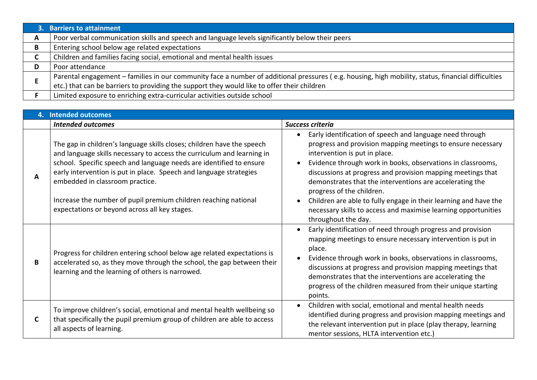|   | 3. Barriers to attainment                                                                                                                          |
|---|----------------------------------------------------------------------------------------------------------------------------------------------------|
| A | Poor verbal communication skills and speech and language levels significantly below their peers                                                    |
| В | Entering school below age related expectations                                                                                                     |
| ◡ | Children and families facing social, emotional and mental health issues                                                                            |
|   | Poor attendance                                                                                                                                    |
|   | Parental engagement – families in our community face a number of additional pressures (e.g. housing, high mobility, status, financial difficulties |
|   | etc.) that can be barriers to providing the support they would like to offer their children                                                        |
|   | Limited exposure to enriching extra-curricular activities outside school                                                                           |

| 4. | <b>Intended outcomes</b>                                                                                                                                                                                                                                                                                                                                                                            |                                                                                                                                                                                                                                                                                                                                                                                                                                                     |
|----|-----------------------------------------------------------------------------------------------------------------------------------------------------------------------------------------------------------------------------------------------------------------------------------------------------------------------------------------------------------------------------------------------------|-----------------------------------------------------------------------------------------------------------------------------------------------------------------------------------------------------------------------------------------------------------------------------------------------------------------------------------------------------------------------------------------------------------------------------------------------------|
|    | <b>Intended outcomes</b>                                                                                                                                                                                                                                                                                                                                                                            | Success criteria                                                                                                                                                                                                                                                                                                                                                                                                                                    |
| A  | The gap in children's language skills closes; children have the speech<br>and language skills necessary to access the curriculum and learning in<br>school. Specific speech and language needs are identified to ensure<br>early intervention is put in place. Speech and language strategies<br>embedded in classroom practice.<br>Increase the number of pupil premium children reaching national | Early identification of speech and language need through<br>progress and provision mapping meetings to ensure necessary<br>intervention is put in place.<br>Evidence through work in books, observations in classrooms,<br>discussions at progress and provision mapping meetings that<br>demonstrates that the interventions are accelerating the<br>progress of the children.<br>Children are able to fully engage in their learning and have the |
|    | expectations or beyond across all key stages.                                                                                                                                                                                                                                                                                                                                                       | necessary skills to access and maximise learning opportunities<br>throughout the day.                                                                                                                                                                                                                                                                                                                                                               |
| B  | Progress for children entering school below age related expectations is<br>accelerated so, as they move through the school, the gap between their<br>learning and the learning of others is narrowed.                                                                                                                                                                                               | Early identification of need through progress and provision<br>mapping meetings to ensure necessary intervention is put in<br>place.<br>Evidence through work in books, observations in classrooms,<br>discussions at progress and provision mapping meetings that<br>demonstrates that the interventions are accelerating the<br>progress of the children measured from their unique starting<br>points.                                           |
| C  | To improve children's social, emotional and mental health wellbeing so<br>that specifically the pupil premium group of children are able to access<br>all aspects of learning.                                                                                                                                                                                                                      | Children with social, emotional and mental health needs<br>identified during progress and provision mapping meetings and<br>the relevant intervention put in place (play therapy, learning<br>mentor sessions, HLTA intervention etc.)                                                                                                                                                                                                              |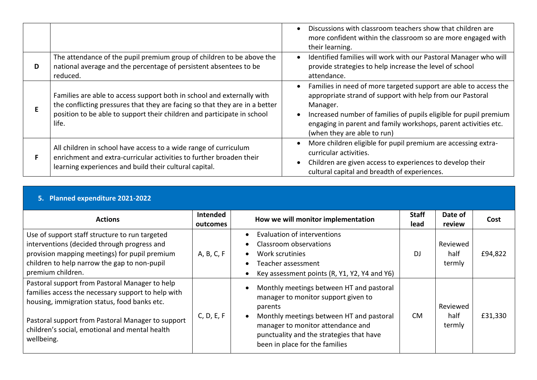|    |                                                                                                                                                                                                                                           | Discussions with classroom teachers show that children are<br>more confident within the classroom so are more engaged with<br>their learning.                                                                                                                                                                    |
|----|-------------------------------------------------------------------------------------------------------------------------------------------------------------------------------------------------------------------------------------------|------------------------------------------------------------------------------------------------------------------------------------------------------------------------------------------------------------------------------------------------------------------------------------------------------------------|
| D  | The attendance of the pupil premium group of children to be above the<br>national average and the percentage of persistent absentees to be<br>reduced.                                                                                    | Identified families will work with our Pastoral Manager who will<br>provide strategies to help increase the level of school<br>attendance.                                                                                                                                                                       |
| E  | Families are able to access support both in school and externally with<br>the conflicting pressures that they are facing so that they are in a better<br>position to be able to support their children and participate in school<br>life. | Families in need of more targeted support are able to access the<br>appropriate strand of support with help from our Pastoral<br>Manager.<br>Increased number of families of pupils eligible for pupil premium<br>engaging in parent and family workshops, parent activities etc.<br>(when they are able to run) |
| F. | All children in school have access to a wide range of curriculum<br>enrichment and extra-curricular activities to further broaden their<br>learning experiences and build their cultural capital.                                         | More children eligible for pupil premium are accessing extra-<br>curricular activities.<br>Children are given access to experiences to develop their<br>cultural capital and breadth of experiences.                                                                                                             |

| 5. Planned expenditure 2021-2022                                                                                                                                                                                                                                          |                             |                                                                                                                                                                                                                                                           |                      |                            |         |  |
|---------------------------------------------------------------------------------------------------------------------------------------------------------------------------------------------------------------------------------------------------------------------------|-----------------------------|-----------------------------------------------------------------------------------------------------------------------------------------------------------------------------------------------------------------------------------------------------------|----------------------|----------------------------|---------|--|
| <b>Actions</b>                                                                                                                                                                                                                                                            | <b>Intended</b><br>outcomes | How we will monitor implementation                                                                                                                                                                                                                        | <b>Staff</b><br>lead | Date of<br>review          | Cost    |  |
| Use of support staff structure to run targeted<br>interventions (decided through progress and<br>provision mapping meetings) for pupil premium<br>children to help narrow the gap to non-pupil<br>premium children.                                                       | A, B, C, F                  | Evaluation of interventions<br>Classroom observations<br>Work scrutinies<br>Teacher assessment<br>Key assessment points (R, Y1, Y2, Y4 and Y6)                                                                                                            | DJ                   | Reviewed<br>half<br>termly | £94,822 |  |
| Pastoral support from Pastoral Manager to help<br>families access the necessary support to help with<br>housing, immigration status, food banks etc.<br>Pastoral support from Pastoral Manager to support<br>children's social, emotional and mental health<br>wellbeing. | C, D, E, F                  | Monthly meetings between HT and pastoral<br>manager to monitor support given to<br>parents<br>Monthly meetings between HT and pastoral<br>manager to monitor attendance and<br>punctuality and the strategies that have<br>been in place for the families | CM.                  | Reviewed<br>half<br>termly | £31,330 |  |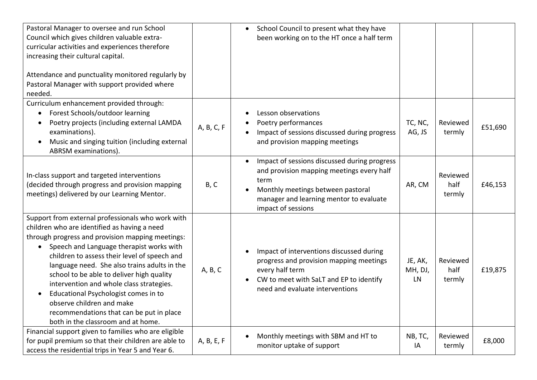| Pastoral Manager to oversee and run School<br>Council which gives children valuable extra-<br>curricular activities and experiences therefore<br>increasing their cultural capital.<br>Attendance and punctuality monitored regularly by<br>Pastoral Manager with support provided where<br>needed.                                                                                                                                                                                                                                                            |            | School Council to present what they have<br>been working on to the HT once a half term                                                                                                                                         |                            |         |
|----------------------------------------------------------------------------------------------------------------------------------------------------------------------------------------------------------------------------------------------------------------------------------------------------------------------------------------------------------------------------------------------------------------------------------------------------------------------------------------------------------------------------------------------------------------|------------|--------------------------------------------------------------------------------------------------------------------------------------------------------------------------------------------------------------------------------|----------------------------|---------|
| Curriculum enhancement provided through:<br>Forest Schools/outdoor learning<br>$\bullet$<br>Poetry projects (including external LAMDA<br>examinations).<br>Music and singing tuition (including external<br>ABRSM examinations).                                                                                                                                                                                                                                                                                                                               | A, B, C, F | Lesson observations<br>Poetry performances<br>TC, NC,<br>AG, JS<br>Impact of sessions discussed during progress<br>and provision mapping meetings                                                                              | Reviewed<br>termly         | £51,690 |
| In-class support and targeted interventions<br>(decided through progress and provision mapping<br>meetings) delivered by our Learning Mentor.                                                                                                                                                                                                                                                                                                                                                                                                                  | B, C       | Impact of sessions discussed during progress<br>$\bullet$<br>and provision mapping meetings every half<br>term<br>AR, CM<br>Monthly meetings between pastoral<br>manager and learning mentor to evaluate<br>impact of sessions | Reviewed<br>half<br>termly | £46,153 |
| Support from external professionals who work with<br>children who are identified as having a need<br>through progress and provision mapping meetings:<br>Speech and Language therapist works with<br>$\bullet$<br>children to assess their level of speech and<br>language need. She also trains adults in the<br>school to be able to deliver high quality<br>intervention and whole class strategies.<br>Educational Psychologist comes in to<br>observe children and make<br>recommendations that can be put in place<br>both in the classroom and at home. | A, B, C    | Impact of interventions discussed during<br>progress and provision mapping meetings<br>JE, AK,<br>every half term<br>MH, DJ,<br>CW to meet with SaLT and EP to identify<br>LN<br>need and evaluate interventions               | Reviewed<br>half<br>termly | £19,875 |
| Financial support given to families who are eligible<br>for pupil premium so that their children are able to<br>access the residential trips in Year 5 and Year 6.                                                                                                                                                                                                                                                                                                                                                                                             | A, B, E, F | Monthly meetings with SBM and HT to<br>NB, TC,<br>monitor uptake of support<br>IA                                                                                                                                              | Reviewed<br>termly         | £8,000  |